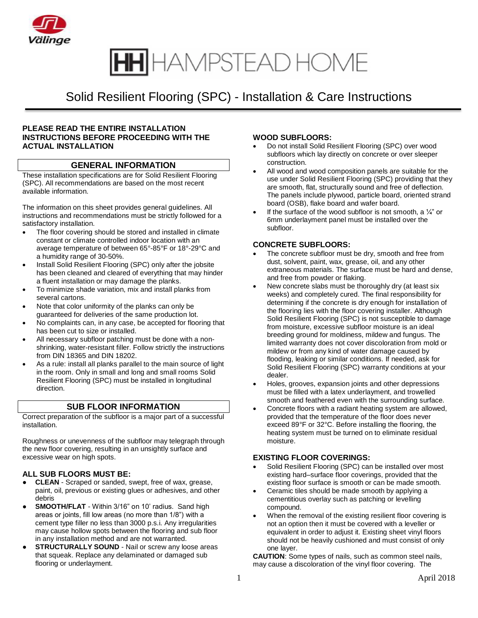

## Solid Resilient Flooring (SPC) - Installation & Care Instructions

#### **PLEASE READ THE ENTIRE INSTALLATION INSTRUCTIONS BEFORE PROCEEDING WITH THE ACTUAL INSTALLATION**

### **GENERAL INFORMATION**

These installation specifications are for Solid Resilient Flooring (SPC). All recommendations are based on the most recent available information.

The information on this sheet provides general guidelines. All instructions and recommendations must be strictly followed for a satisfactory installation.

- The floor covering should be stored and installed in climate constant or climate controlled indoor location with an average temperature of between 65°-85°F or 18°-29°C and a humidity range of 30-50%.
- Install Solid Resilient Flooring (SPC) only after the jobsite has been cleaned and cleared of everything that may hinder a fluent installation or may damage the planks.
- To minimize shade variation, mix and install planks from several cartons.
- Note that color uniformity of the planks can only be guaranteed for deliveries of the same production lot.
- No complaints can, in any case, be accepted for flooring that has been cut to size or installed.
- All necessary subfloor patching must be done with a nonshrinking, water-resistant filler. Follow strictly the instructions from DIN 18365 and DIN 18202.
- As a rule: install all planks parallel to the main source of light in the room. Only in small and long and small rooms Solid Resilient Flooring (SPC) must be installed in [longitudinal](http://dict.leo.org/ende?lp=ende&p=Ci4HO3kMAA&search=longitudinal&trestr=0x801) [direction.](http://dict.leo.org/ende?lp=ende&p=Ci4HO3kMAA&search=direction&trestr=0x801)

#### **SUB FLOOR INFORMATION**

Correct preparation of the subfloor is a major part of a successful installation.

Roughness or unevenness of the subfloor may telegraph through the new floor covering, resulting in an unsightly surface and excessive wear on high spots.

#### **ALL SUB FLOORS MUST BE:**

- **● CLEAN** Scraped or sanded, swept, free of wax, grease, paint, oil, previous or existing glues or adhesives, and other debris
- **SMOOTH/FLAT** Within 3/16" on 10' radius. Sand high areas or joints, fill low areas (no more than 1/8") with a cement type filler no less than 3000 p.s.i. Any irregularities may cause hollow spots between the flooring and sub floor in any installation method and are not warranted.
- **● STRUCTURALLY SOUND** Nail or screw any loose areas that squeak. Replace any delaminated or damaged sub flooring or underlayment.

#### **WOOD SUBFLOORS:**

- Do not install Solid Resilient Flooring (SPC) over wood subfloors which lay directly on concrete or over sleeper construction.
- All wood and wood composition panels are suitable for the use under Solid Resilient Flooring (SPC) providing that they are smooth, flat, structurally sound and free of deflection. The panels include plywood, particle board, oriented strand board (OSB), flake board and wafer board.
- If the surface of the wood subfloor is not smooth, a  $\frac{1}{4}$  or 6mm underlayment panel must be installed over the subfloor.

#### **CONCRETE SUBFLOORS:**

- The concrete subfloor must be dry, smooth and free from dust, solvent, paint, wax, grease, oil, and any other extraneous materials. The surface must be hard and dense, and free from powder or flaking.
- New concrete slabs must be thoroughly dry (at least six weeks) and completely cured. The final responsibility for determining if the concrete is dry enough for installation of the flooring lies with the floor covering installer. Although Solid Resilient Flooring (SPC) is not susceptible to damage from moisture, excessive subfloor moisture is an ideal breeding ground for moldiness, mildew and fungus. The limited warranty does not cover discoloration from mold or mildew or from any kind of water damage caused by flooding, leaking or similar conditions. If needed, ask for Solid Resilient Flooring (SPC) warranty conditions at your dealer.
- Holes, grooves, expansion joints and other depressions must be filled with a latex underlayment, and trowelled smooth and feathered even with the surrounding surface.
- Concrete floors with a radiant heating system are allowed, provided that the temperature of the floor does never exceed 89°F or 32°C. Before installing the flooring, the heating system must be turned on to eliminate residual moisture.

#### **EXISTING FLOOR COVERINGS:**

- Solid Resilient Flooring (SPC) can be installed over most existing hard–surface floor coverings, provided that the existing floor surface is smooth or can be made smooth.
- Ceramic tiles should be made smooth by applying a [cementitious](http://dict.leo.org/ende?lp=ende&p=Ci4HO3kMAA&search=cementitious&trestr=0x8004) overlay such as patching or levelling compound.
- When the removal of the existing resilient floor covering is not an option then it must be covered with a leveller or equivalent in order to adjust it. Existing sheet vinyl floors should not be heavily cushioned and must consist of only one layer.

**CAUTION**: Some types of nails, such as common steel nails, may cause a discoloration of the vinyl floor covering. The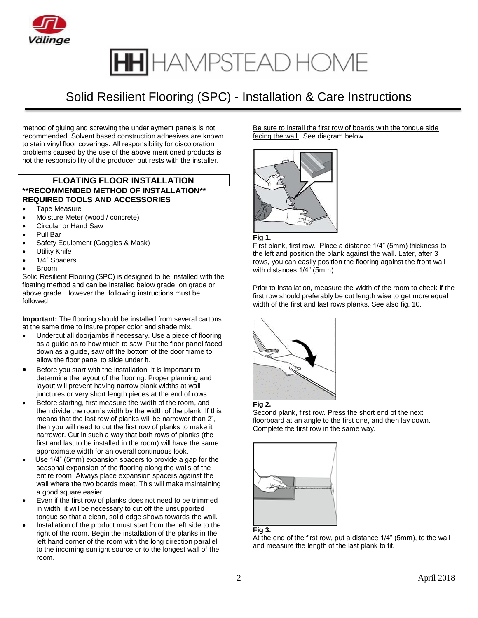

## Solid Resilient Flooring (SPC) - Installation & Care Instructions

method of gluing and screwing the underlayment panels is not recommended. Solvent based construction adhesives are known to stain vinyl floor coverings. All responsibility for discoloration problems caused by the use of the above mentioned products is not the responsibility of the producer but rests with the installer.

### **FLOATING FLOOR INSTALLATION \*\*RECOMMENDED METHOD OF INSTALLATION\*\* REQUIRED TOOLS AND ACCESSORIES**

- Tape Measure
- Moisture Meter (wood / concrete)
- Circular or Hand Saw
- Pull Bar
- Safety Equipment (Goggles & Mask)
- Utility Knife
- 1/4" Spacers
- Broom

Solid Resilient Flooring (SPC) is designed to be installed with the floating method and can be installed below grade, on grade or above grade. However the following instructions must be followed:

**Important:** The flooring should be installed from several cartons at the same time to insure proper color and shade mix.

- Undercut all doorjambs if necessary. Use a piece of flooring as a guide as to how much to saw. Put the floor panel faced down as a guide, saw off the bottom of the door frame to allow the floor panel to slide under it.
- Before you start with the installation, it is important to determine the layout of the flooring. Proper planning and layout will prevent having narrow plank widths at wall junctures or very short length pieces at the end of rows.
- Before starting, first measure the width of the room, and then divide the room's width by the width of the plank. If this means that the last row of planks will be narrower than 2", then you will need to cut the first row of planks to make it narrower. Cut in such a way that both rows of planks (the first and last to be installed in the room) will have the same approximate width for an overall continuous look.
- Use 1/4" (5mm) expansion spacers to provide a gap for the seasonal expansion of the flooring along the walls of the entire room. Always place expansion spacers against the wall where the two boards meet. This will make maintaining a good square easier.
- Even if the first row of planks does not need to be trimmed in width, it will be necessary to cut off the unsupported tongue so that a clean, solid edge shows towards the wall.
- Installation of the product must start from the left side to the right of the room. Begin the installation of the planks in the left hand corner of the room with the long direction parallel to the incoming sunlight source or to the longest wall of the room.

Be sure to install the first row of boards with the tongue side facing the wall. See diagram below.



#### **Fig 1.**

First plank, first row. Place a distance 1/4" (5mm) thickness to the left and position the plank against the wall. Later, after 3 rows, you can easily position the flooring against the front wall with distances 1/4" (5mm).

Prior to installation, measure the width of the room to check if the first row should preferably be cut length wise to get more equal width of the first and last rows planks. See also fig. 10.



#### **Fig 2.**

Second plank, first row. Press the short end of the next floorboard at an angle to the first one, and then lay down. Complete the first row in the same way.



#### **Fig 3.**

At the end of the first row, put a distance 1/4" (5mm), to the wall and measure the length of the last plank to fit.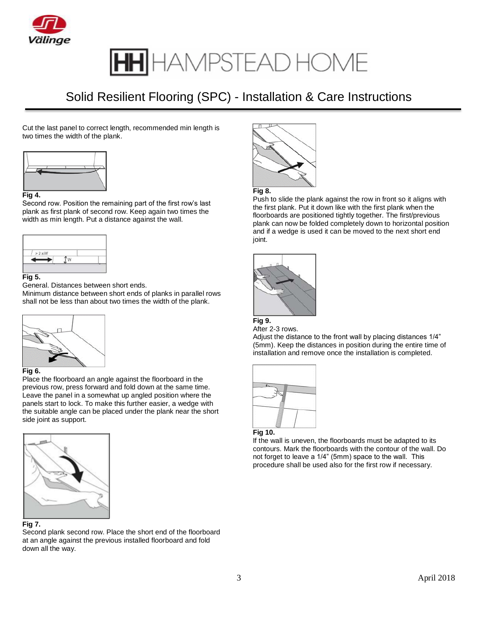

## Solid Resilient Flooring (SPC) - Installation & Care Instructions

Cut the last panel to correct length, recommended min length is two times the width of the plank.



Second row. Position the remaining part of the first row's last plank as first plank of second row. Keep again two times the width as min length. Put a distance against the wall.



#### **Fig 5.**

General. Distances between short ends.

Minimum distance between short ends of planks in parallel rows shall not be less than about two times the width of the plank.



#### **Fig 6.**

Place the floorboard an angle against the floorboard in the previous row, press forward and fold down at the same time. Leave the panel in a somewhat up angled position where the panels start to lock. To make this further easier, a wedge with the suitable angle can be placed under the plank near the short side joint as support.



#### **Fig 7.**

Second plank second row. Place the short end of the floorboard at an angle against the previous installed floorboard and fold down all the way.



#### **Fig 8.**

Push to slide the plank against the row in front so it aligns with the first plank. Put it down like with the first plank when the floorboards are positioned tightly together. The first/previous plank can now be folded completely down to horizontal position and if a wedge is used it can be moved to the next short end joint.





Adjust the distance to the front wall by placing distances 1/4" (5mm). Keep the distances in position during the entire time of installation and remove once the installation is completed.





If the wall is uneven, the floorboards must be adapted to its contours. Mark the floorboards with the contour of the wall. Do not forget to leave a 1/4" (5mm) space to the wall. This procedure shall be used also for the first row if necessary.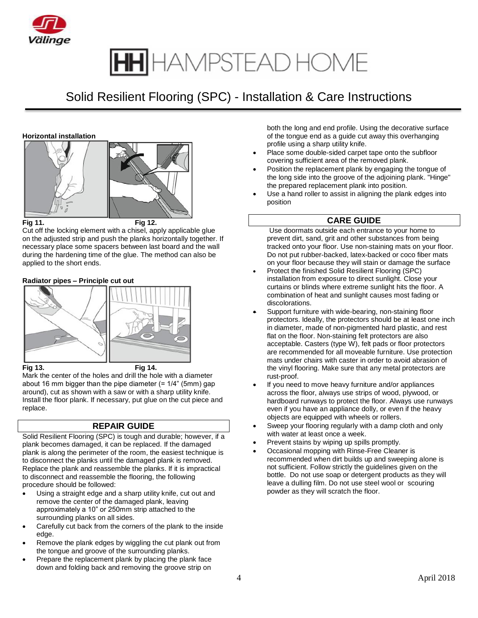

## Solid Resilient Flooring (SPC) - Installation & Care Instructions

#### **Horizontal installation**





**Fig 11. Fig 12.**

Cut off the locking element with a chisel, apply applicable glue on the adjusted strip and push the planks horizontally together. If necessary place some spacers between last board and the wall during the hardening time of the glue. The method can also be applied to the short ends.

#### **Radiator pipes – Principle cut out**



**Fig 13. Fig 14.**

Mark the center of the holes and drill the hole with a diameter about 16 mm bigger than the pipe diameter (= 1/4" (5mm) gap around), cut as shown with a saw or with a sharp utility knife. Install the floor plank. If necessary, put glue on the cut piece and replace.

### **REPAIR GUIDE**

Solid Resilient Flooring (SPC) is tough and durable; however, if a plank becomes damaged, it can be replaced. If the damaged plank is along the perimeter of the room, the easiest technique is to disconnect the planks until the damaged plank is removed. Replace the plank and reassemble the planks. If it is impractical to disconnect and reassemble the flooring, the following procedure should be followed:

- Using a straight edge and a sharp utility knife, cut out and remove the center of the damaged plank, leaving approximately a 10" or 250mm strip attached to the surrounding planks on all sides.
- Carefully cut back from the corners of the plank to the inside edge.
- Remove the plank edges by wiggling the cut plank out from the tongue and groove of the surrounding planks.
- Prepare the replacement plank by placing the plank face down and folding back and removing the groove strip on

both the long and end profile. Using the decorative surface of the tongue end as a guide cut away this overhanging profile using a sharp utility knife.

- Place some double-sided carpet tape onto the subfloor covering sufficient area of the removed plank.
- Position the replacement plank by engaging the tongue of the long side into the groove of the adjoining plank. "Hinge" the prepared replacement plank into position.
- Use a hand roller to assist in aligning the plank edges into position

#### **CARE GUIDE**

Use doormats outside each entrance to your home to prevent dirt, sand, grit and other substances from being tracked onto your floor. Use non-staining mats on your floor. Do not put rubber-backed, latex-backed or coco fiber mats on your floor because they will stain or damage the surface

- Protect the finished Solid Resilient Flooring (SPC) installation from exposure to direct sunlight. Close your curtains or blinds where extreme sunlight hits the floor. A combination of heat and sunlight causes most fading or discolorations.
- Support furniture with wide-bearing, non-staining floor protectors. Ideally, the protectors should be at least one inch in diameter, made of non-pigmented hard plastic, and rest flat on the floor. Non-staining felt protectors are also acceptable. Casters (type W), felt pads or floor protectors are recommended for all moveable furniture. Use protection mats under chairs with caster in order to avoid abrasion of the vinyl flooring. Make sure that any metal protectors are rust-proof.
- If you need to move heavy furniture and/or appliances across the floor, always use strips of wood, plywood, or hardboard runways to protect the floor. Always use runways even if you have an appliance dolly, or even if the heavy objects are equipped with wheels or rollers.
- Sweep your flooring regularly with a damp cloth and only with water at least once a week.
- Prevent stains by wiping up spills promptly.
- Occasional mopping with Rinse-Free Cleaner is recommended when dirt builds up and sweeping alone is not sufficient. Follow strictly the guidelines given on the bottle. Do not use soap or detergent products as they will leave a dulling film. Do not use steel wool or scouring powder as they will scratch the floor.